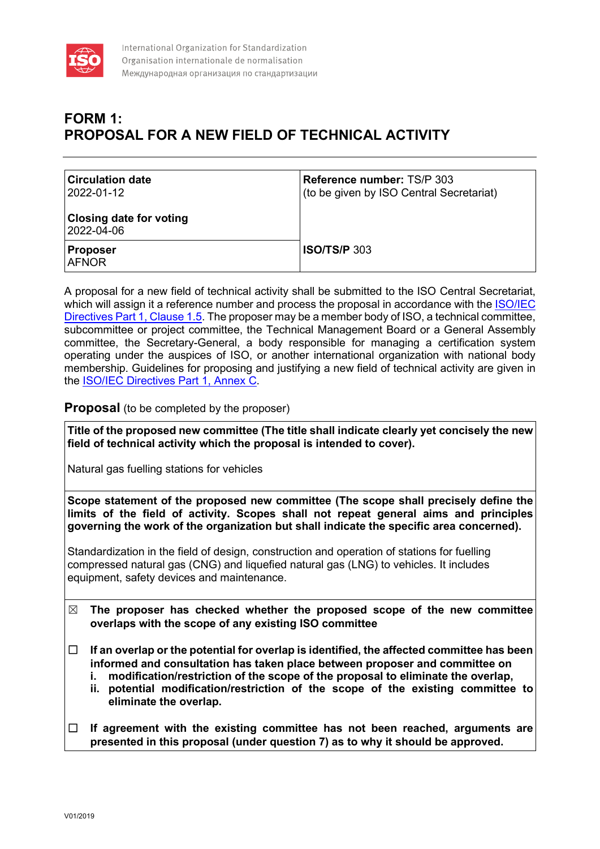

## **FORM 1: PROPOSAL FOR A NEW FIELD OF TECHNICAL ACTIVITY**

| <b>Circulation date</b><br>2022-01-12        | Reference number: TS/P 303<br>(to be given by ISO Central Secretariat) |
|----------------------------------------------|------------------------------------------------------------------------|
| <b>Closing date for voting</b><br>2022-04-06 |                                                                        |
| <b>Proposer</b><br><b>AFNOR</b>              | $\overline{1}$ ISO/TS/P 303                                            |

A proposal for a new field of technical activity shall be submitted to the ISO Central Secretariat, which will assign it a reference number and process the proposal in accordance with the ISO/IEC [Directives Part 1, Clause 1.5.](https://www.iso.org/sites/directives/current/consolidated/index.xhtml#_idTextAnchor023) The proposer may be a member body of ISO, a technical committee, subcommittee or project committee, the Technical Management Board or a General Assembly committee, the Secretary-General, a body responsible for managing a certification system operating under the auspices of ISO, or another international organization with national body membership. Guidelines for proposing and justifying a new field of technical activity are given in the [ISO/IEC Directives Part 1, Annex C.](https://www.iso.org/sites/directives/current/consolidated/index.xhtml#_idTextAnchor329)

## **Proposal** (to be completed by the proposer)

**Title of the proposed new committee (The title shall indicate clearly yet concisely the new field of technical activity which the proposal is intended to cover).**

Natural gas fuelling stations for vehicles

**Scope statement of the proposed new committee (The scope shall precisely define the limits of the field of activity. Scopes shall not repeat general aims and principles governing the work of the organization but shall indicate the specific area concerned).**

Standardization in the field of design, construction and operation of stations for fuelling compressed natural gas (CNG) and liquefied natural gas (LNG) to vehicles. It includes equipment, safety devices and maintenance.

- ☒ **The proposer has checked whether the proposed scope of the new committee overlaps with the scope of any existing ISO committee**
- ☐ **If an overlap or the potential for overlap is identified, the affected committee has been informed and consultation has taken place between proposer and committee on** 
	- **i. modification/restriction of the scope of the proposal to eliminate the overlap,**
	- **ii. potential modification/restriction of the scope of the existing committee to eliminate the overlap.**
- ☐ **If agreement with the existing committee has not been reached, arguments are presented in this proposal (under question 7) as to why it should be approved.**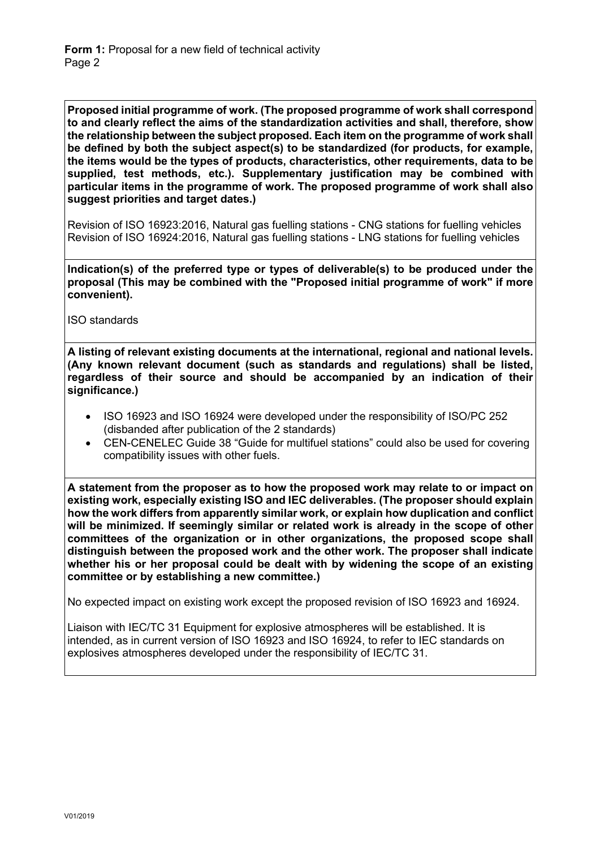**Proposed initial programme of work. (The proposed programme of work shall correspond to and clearly reflect the aims of the standardization activities and shall, therefore, show the relationship between the subject proposed. Each item on the programme of work shall be defined by both the subject aspect(s) to be standardized (for products, for example, the items would be the types of products, characteristics, other requirements, data to be supplied, test methods, etc.). Supplementary justification may be combined with particular items in the programme of work. The proposed programme of work shall also suggest priorities and target dates.)**

Revision of ISO 16923:2016, Natural gas fuelling stations - CNG stations for fuelling vehicles Revision of ISO 16924:2016, Natural gas fuelling stations - LNG stations for fuelling vehicles

**Indication(s) of the preferred type or types of deliverable(s) to be produced under the proposal (This may be combined with the "Proposed initial programme of work" if more convenient).**

ISO standards

**A listing of relevant existing documents at the international, regional and national levels. (Any known relevant document (such as standards and regulations) shall be listed, regardless of their source and should be accompanied by an indication of their significance.)**

- ISO 16923 and ISO 16924 were developed under the responsibility of ISO/PC 252 (disbanded after publication of the 2 standards)
- CEN-CENELEC Guide 38 "Guide for multifuel stations" could also be used for covering compatibility issues with other fuels.

**A statement from the proposer as to how the proposed work may relate to or impact on existing work, especially existing ISO and IEC deliverables. (The proposer should explain how the work differs from apparently similar work, or explain how duplication and conflict will be minimized. If seemingly similar or related work is already in the scope of other committees of the organization or in other organizations, the proposed scope shall distinguish between the proposed work and the other work. The proposer shall indicate whether his or her proposal could be dealt with by widening the scope of an existing committee or by establishing a new committee.)**

No expected impact on existing work except the proposed revision of ISO 16923 and 16924.

Liaison with IEC/TC 31 Equipment for explosive atmospheres will be established. It is intended, as in current version of ISO 16923 and ISO 16924, to refer to IEC standards on explosives atmospheres developed under the responsibility of IEC/TC 31.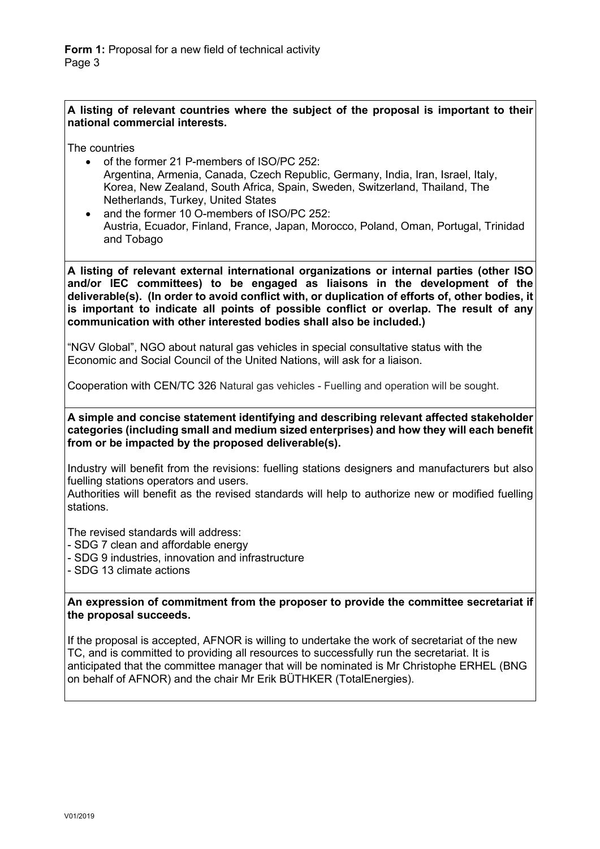## **A listing of relevant countries where the subject of the proposal is important to their national commercial interests.**

The countries

- of the former 21 P-members of ISO/PC 252: Argentina, Armenia, Canada, Czech Republic, Germany, India, Iran, Israel, Italy, Korea, New Zealand, South Africa, Spain, Sweden, Switzerland, Thailand, The Netherlands, Turkey, United States
- and the former 10 O-members of ISO/PC 252: Austria, Ecuador, Finland, France, Japan, Morocco, Poland, Oman, Portugal, Trinidad and Tobago

**A listing of relevant external international organizations or internal parties (other ISO and/or IEC committees) to be engaged as liaisons in the development of the deliverable(s). (In order to avoid conflict with, or duplication of efforts of, other bodies, it is important to indicate all points of possible conflict or overlap. The result of any communication with other interested bodies shall also be included.)**

"NGV Global", NGO about natural gas vehicles in special consultative status with the Economic and Social Council of the United Nations, will ask for a liaison.

Cooperation with CEN/TC 326 Natural gas vehicles - Fuelling and operation will be sought.

**A simple and concise statement identifying and describing relevant affected stakeholder categories (including small and medium sized enterprises) and how they will each benefit from or be impacted by the proposed deliverable(s).**

Industry will benefit from the revisions: fuelling stations designers and manufacturers but also fuelling stations operators and users.

Authorities will benefit as the revised standards will help to authorize new or modified fuelling stations.

The revised standards will address:

- SDG 7 clean and affordable energy

- SDG 9 industries, innovation and infrastructure

- SDG 13 climate actions

**An expression of commitment from the proposer to provide the committee secretariat if the proposal succeeds.**

If the proposal is accepted, AFNOR is willing to undertake the work of secretariat of the new TC, and is committed to providing all resources to successfully run the secretariat. It is anticipated that the committee manager that will be nominated is Mr Christophe ERHEL (BNG on behalf of AFNOR) and the chair Mr Erik BÜTHKER (TotalEnergies).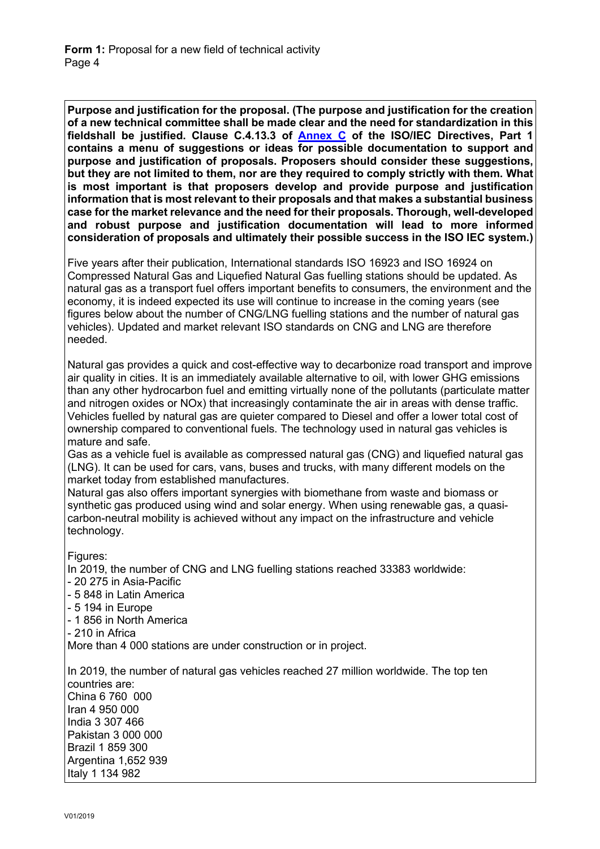**Purpose and justification for the proposal. (The purpose and justification for the creation of a new technical committee shall be made clear and the need for standardization in this fieldshall be justified. Clause C.4.13.3 of [Annex C](https://www.iso.org/sites/directives/current/part1/index.xhtml#_idTextAnchor310) of the ISO/IEC Directives, Part 1 contains a menu of suggestions or ideas for possible documentation to support and purpose and justification of proposals. Proposers should consider these suggestions, but they are not limited to them, nor are they required to comply strictly with them. What is most important is that proposers develop and provide purpose and justification information that is most relevant to their proposals and that makes a substantial business case for the market relevance and the need for their proposals. Thorough, well-developed and robust purpose and justification documentation will lead to more informed consideration of proposals and ultimately their possible success in the ISO IEC system.)**

Five years after their publication, International standards ISO 16923 and ISO 16924 on Compressed Natural Gas and Liquefied Natural Gas fuelling stations should be updated. As natural gas as a transport fuel offers important benefits to consumers, the environment and the economy, it is indeed expected its use will continue to increase in the coming years (see figures below about the number of CNG/LNG fuelling stations and the number of natural gas vehicles). Updated and market relevant ISO standards on CNG and LNG are therefore needed.

Natural gas provides a quick and cost-effective way to decarbonize road transport and improve air quality in cities. It is an immediately available alternative to oil, with lower GHG emissions than any other hydrocarbon fuel and emitting virtually none of the pollutants (particulate matter and nitrogen oxides or NOx) that increasingly contaminate the air in areas with dense traffic. Vehicles fuelled by natural gas are quieter compared to Diesel and offer a lower total cost of ownership compared to conventional fuels. The technology used in natural gas vehicles is mature and safe.

Gas as a vehicle fuel is available as compressed natural gas (CNG) and liquefied natural gas (LNG). It can be used for cars, vans, buses and trucks, with many different models on the market today from established manufactures.

Natural gas also offers important synergies with biomethane from waste and biomass or synthetic gas produced using wind and solar energy. When using renewable gas, a quasicarbon-neutral mobility is achieved without any impact on the infrastructure and vehicle technology.

Figures:

In 2019, the number of CNG and LNG fuelling stations reached 33383 worldwide:

- 20 275 in Asia-Pacific

- 5 848 in Latin America

- 5 194 in Europe

- 1 856 in North America

- 210 in Africa

More than 4 000 stations are under construction or in project.

In 2019, the number of natural gas vehicles reached 27 million worldwide. The top ten countries are: China 6 760 000 Iran 4 950 000 India 3 307 466 Pakistan 3 000 000 Brazil 1 859 300 Argentina 1,652 939 Italy 1 134 982